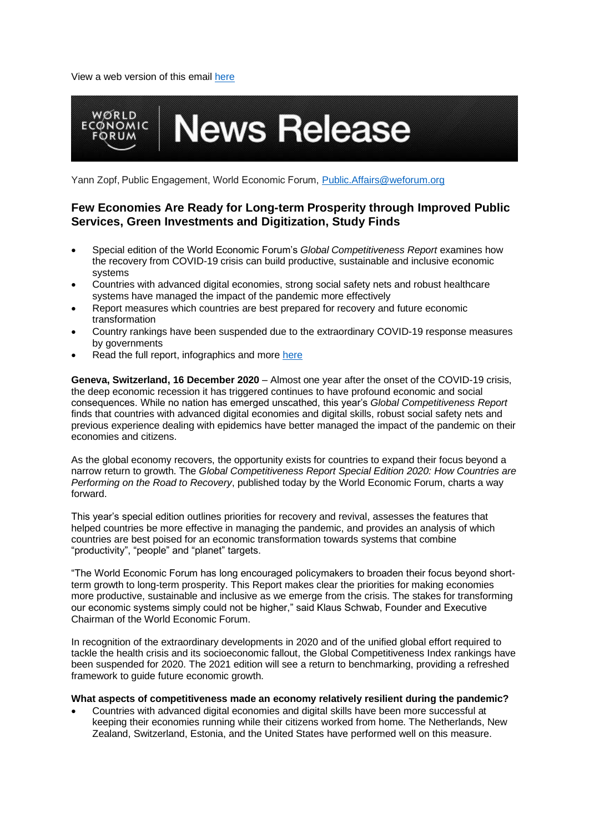View a web version of this email [here](file:///C:/Users/CLAL/Downloads/*|ARCHIVE|*)



Yann Zopf, Public Engagement, World Economic Forum, [Public.Affairs@weforum.org](mailto:Public.Affairs@weforum.org)

# **Few Economies Are Ready for Long-term Prosperity through Improved Public Services, Green Investments and Digitization, Study Finds**

- Special edition of the World Economic Forum's *Global Competitiveness Report* examines how the recovery from COVID-19 crisis can build productive, sustainable and inclusive economic systems
- Countries with advanced digital economies, strong social safety nets and robust healthcare systems have managed the impact of the pandemic more effectively
- Report measures which countries are best prepared for recovery and future economic transformation
- Country rankings have been suspended due to the extraordinary COVID-19 response measures by governments
- Read the full report, infographics and more [here](https://www.weforum.org/reports/the-global-competitiveness-report-2020)

**Geneva, Switzerland, 16 December 2020** – Almost one year after the onset of the COVID-19 crisis, the deep economic recession it has triggered continues to have profound economic and social consequences. While no nation has emerged unscathed, this year's *Global Competitiveness Report*  finds that countries with advanced digital economies and digital skills, robust social safety nets and previous experience dealing with epidemics have better managed the impact of the pandemic on their economies and citizens.

As the global economy recovers, the opportunity exists for countries to expand their focus beyond a narrow return to growth. The *Global Competitiveness Report Special Edition 2020: How Countries are Performing on the Road to Recovery*, published today by the World Economic Forum, charts a way forward.

This year's special edition outlines priorities for recovery and revival, assesses the features that helped countries be more effective in managing the pandemic, and provides an analysis of which countries are best poised for an economic transformation towards systems that combine "productivity", "people" and "planet" targets.

"The World Economic Forum has long encouraged policymakers to broaden their focus beyond shortterm growth to long-term prosperity. This Report makes clear the priorities for making economies more productive, sustainable and inclusive as we emerge from the crisis. The stakes for transforming our economic systems simply could not be higher," said Klaus Schwab, Founder and Executive Chairman of the World Economic Forum.

In recognition of the extraordinary developments in 2020 and of the unified global effort required to tackle the health crisis and its socioeconomic fallout, the Global Competitiveness Index rankings have been suspended for 2020. The 2021 edition will see a return to benchmarking, providing a refreshed framework to guide future economic growth.

#### **What aspects of competitiveness made an economy relatively resilient during the pandemic?**

• Countries with advanced digital economies and digital skills have been more successful at keeping their economies running while their citizens worked from home. The Netherlands, New Zealand, Switzerland, Estonia, and the United States have performed well on this measure.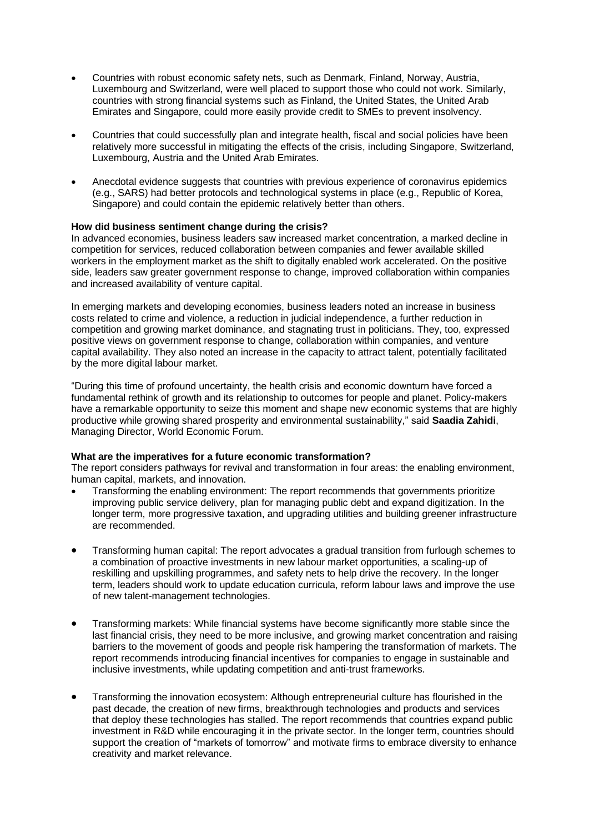- Countries with robust economic safety nets, such as Denmark, Finland, Norway, Austria, Luxembourg and Switzerland, were well placed to support those who could not work. Similarly, countries with strong financial systems such as Finland, the United States, the United Arab Emirates and Singapore, could more easily provide credit to SMEs to prevent insolvency.
- Countries that could successfully plan and integrate health, fiscal and social policies have been relatively more successful in mitigating the effects of the crisis, including Singapore, Switzerland, Luxembourg, Austria and the United Arab Emirates.
- Anecdotal evidence suggests that countries with previous experience of coronavirus epidemics (e.g., SARS) had better protocols and technological systems in place (e.g., Republic of Korea, Singapore) and could contain the epidemic relatively better than others.

### **How did business sentiment change during the crisis?**

In advanced economies, business leaders saw increased market concentration, a marked decline in competition for services, reduced collaboration between companies and fewer available skilled workers in the employment market as the shift to digitally enabled work accelerated. On the positive side, leaders saw greater government response to change, improved collaboration within companies and increased availability of venture capital.

In emerging markets and developing economies, business leaders noted an increase in business costs related to crime and violence, a reduction in judicial independence, a further reduction in competition and growing market dominance, and stagnating trust in politicians. They, too, expressed positive views on government response to change, collaboration within companies, and venture capital availability. They also noted an increase in the capacity to attract talent, potentially facilitated by the more digital labour market.

"During this time of profound uncertainty, the health crisis and economic downturn have forced a fundamental rethink of growth and its relationship to outcomes for people and planet. Policy-makers have a remarkable opportunity to seize this moment and shape new economic systems that are highly productive while growing shared prosperity and environmental sustainability," said **Saadia Zahidi**, Managing Director, World Economic Forum.

#### **What are the imperatives for a future economic transformation?**

The report considers pathways for revival and transformation in four areas: the enabling environment, human capital, markets, and innovation.

- Transforming the enabling environment: The report recommends that governments prioritize improving public service delivery, plan for managing public debt and expand digitization. In the longer term, more progressive taxation, and upgrading utilities and building greener infrastructure are recommended.
- Transforming human capital: The report advocates a gradual transition from furlough schemes to a combination of proactive investments in new labour market opportunities, a scaling-up of reskilling and upskilling programmes, and safety nets to help drive the recovery. In the longer term, leaders should work to update education curricula, reform labour laws and improve the use of new talent-management technologies.
- Transforming markets: While financial systems have become significantly more stable since the last financial crisis, they need to be more inclusive, and growing market concentration and raising barriers to the movement of goods and people risk hampering the transformation of markets. The report recommends introducing financial incentives for companies to engage in sustainable and inclusive investments, while updating competition and anti-trust frameworks.
- Transforming the innovation ecosystem: Although entrepreneurial culture has flourished in the past decade, the creation of new firms, breakthrough technologies and products and services that deploy these technologies has stalled. The report recommends that countries expand public investment in R&D while encouraging it in the private sector. In the longer term, countries should support the creation of "markets of tomorrow" and motivate firms to embrace diversity to enhance creativity and market relevance.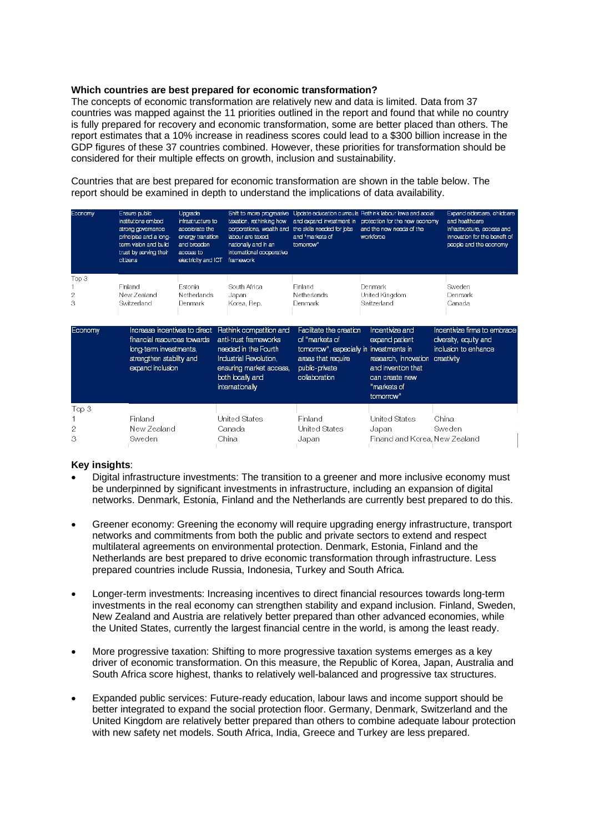#### **Which countries are best prepared for economic transformation?**

The concepts of economic transformation are relatively new and data is limited. Data from 37 countries was mapped against the 11 priorities outlined in the report and found that while no country is fully prepared for recovery and economic transformation, some are better placed than others. The report estimates that a 10% increase in readiness scores could lead to a \$300 billion increase in the GDP figures of these 37 countries combined. However, these priorities for transformation should be considered for their multiple effects on growth, inclusion and sustainability.

Countries that are best prepared for economic transformation are shown in the table below. The report should be examined in depth to understand the implications of data availability.

| Economy         | Ensure public<br>institutions embed<br>strong governance<br>principles and a long-<br>term vision and build<br>trust by serving their<br>citizens | Upgrade<br>infrastructure to<br>accelerate the<br>energy transition<br>and broaden<br>access to<br>electricity and ICT | taxation, rethinking how<br>corporations, wealth and the skills needed for jobs<br>labour are taxed.<br>nationally and in an<br>international cooperative<br>framework | and "markets of<br>tomorrow"                                                                                                                  | Shift to more progressive Update education curricula Rethink labour laws and social<br>and expand investment in protection for the new economy<br>and the new needs of the<br>workforce | Expand eldercare, childcare<br>and healthcare<br>infrastructure, access and<br>innovation for the benefit of<br>people and the economy |
|-----------------|---------------------------------------------------------------------------------------------------------------------------------------------------|------------------------------------------------------------------------------------------------------------------------|------------------------------------------------------------------------------------------------------------------------------------------------------------------------|-----------------------------------------------------------------------------------------------------------------------------------------------|-----------------------------------------------------------------------------------------------------------------------------------------------------------------------------------------|----------------------------------------------------------------------------------------------------------------------------------------|
| Top 3<br>2<br>3 | Finland<br>New Zealand<br>Switzerland                                                                                                             | Estonia<br>Netherlands<br>Denmark                                                                                      | South Africa<br>Japan<br>Korea, Rep.                                                                                                                                   | Finland<br>Netherlands<br>Denmark                                                                                                             | Denmark<br>United Kingdom<br>Switzerland                                                                                                                                                | Sweden<br>Denmark<br>Canada                                                                                                            |
| Economy         | Increase incentives to direct<br>financial resources towards<br>long-term investments,<br>strengthen stability and<br>expand inclusion            |                                                                                                                        | Rethink competition and<br>anti-trust frameworks<br>needed in the Fourth<br>Industrial Revolution,<br>ensuring market access,<br>both locally and<br>internationally   | Facilitate the creation<br>of "markets of<br>tomorrow", especially in investments in<br>areas that require<br>public-private<br>collaboration | Incentivize and<br>expand patient<br>research, innovation creativity<br>and invention that<br>can create new<br>"markets of<br>tomorrow"                                                | Incentivize firms to embrace<br>diversity, equity and<br>inclusion to enhance                                                          |
| Top 3<br>2<br>З | Finland<br>New Zealand<br>Sweden                                                                                                                  |                                                                                                                        | United States<br>Canada<br>China                                                                                                                                       | Finland<br><b>United States</b><br>Japan                                                                                                      | United States<br>Japan<br>Finand and Korea. New Zealand                                                                                                                                 | China<br>Sweden                                                                                                                        |

## **Key insights**:

- Digital infrastructure investments: The transition to a greener and more inclusive economy must be underpinned by significant investments in infrastructure, including an expansion of digital networks. Denmark, Estonia, Finland and the Netherlands are currently best prepared to do this.
- Greener economy: Greening the economy will require upgrading energy infrastructure, transport networks and commitments from both the public and private sectors to extend and respect multilateral agreements on environmental protection. Denmark, Estonia, Finland and the Netherlands are best prepared to drive economic transformation through infrastructure. Less prepared countries include Russia, Indonesia, Turkey and South Africa.
- Longer-term investments: Increasing incentives to direct financial resources towards long-term investments in the real economy can strengthen stability and expand inclusion. Finland, Sweden, New Zealand and Austria are relatively better prepared than other advanced economies, while the United States, currently the largest financial centre in the world, is among the least ready.
- More progressive taxation: Shifting to more progressive taxation systems emerges as a key driver of economic transformation. On this measure, the Republic of Korea, Japan, Australia and South Africa score highest, thanks to relatively well-balanced and progressive tax structures.
- Expanded public services: Future-ready education, labour laws and income support should be better integrated to expand the social protection floor. Germany, Denmark, Switzerland and the United Kingdom are relatively better prepared than others to combine adequate labour protection with new safety net models. South Africa, India, Greece and Turkey are less prepared.